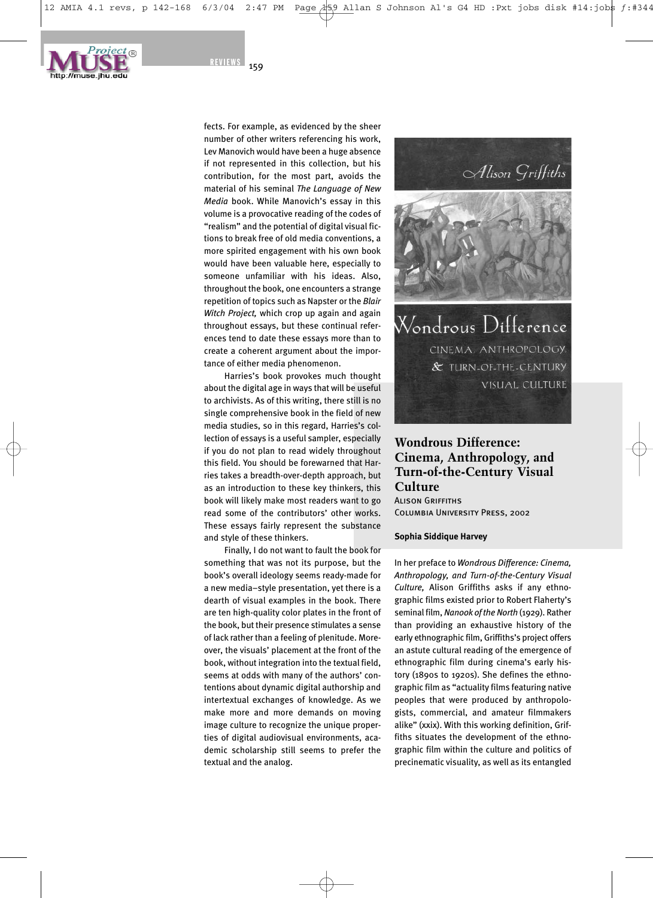

fects. For example, as evidenced by the sheer number of other writers referencing his work, Lev Manovich would have been a huge absence if not represented in this collection, but his contribution, for the most part, avoids the material of his seminal *The Language of New Media* book. While Manovich's essay in this volume is a provocative reading of the codes of "realism" and the potential of digital visual fictions to break free of old media conventions, a more spirited engagement with his own book would have been valuable here, especially to someone unfamiliar with his ideas. Also, throughout the book, one encounters a strange repetition of topics such as Napster or the *Blair Witch Project,* which crop up again and again throughout essays, but these continual references tend to date these essays more than to create a coherent argument about the importance of either media phenomenon.

Harries's book provokes much thought about the digital age in ways that will be useful to archivists. As of this writing, there still is no single comprehensive book in the field of new media studies, so in this regard, Harries's collection of essays is a useful sampler, especially if you do not plan to read widely throughout this field. You should be forewarned that Harries takes a breadth-over-depth approach, but as an introduction to these key thinkers, this book will likely make most readers want to go read some of the contributors' other works. These essays fairly represent the substance and style of these thinkers.

Finally, I do not want to fault the book for something that was not its purpose, but the book's overall ideology seems ready-made for a new media–style presentation, yet there is a dearth of visual examples in the book. There are ten high-quality color plates in the front of the book, but their presence stimulates a sense of lack rather than a feeling of plenitude. Moreover, the visuals' placement at the front of the book, without integration into the textual field, seems at odds with many of the authors' contentions about dynamic digital authorship and intertextual exchanges of knowledge. As we make more and more demands on moving image culture to recognize the unique properties of digital audiovisual environments, academic scholarship still seems to prefer the textual and the analog.



Wondrous Difference CINEMA, ANTHROPOLOGY, & TURN-OF-THE-CENTURY VISUAL CULTURE

### **Wondrous Difference: Cinema, Anthropology, and Turn-of-the-Century Visual Culture ALISON GRIFFITHS** Columbia University Press, 2002

#### **Sophia Siddique Harvey**

In her preface to *Wondrous Difference: Cinema, Anthropology, and Turn-of-the-Century Visual Culture,* Alison Griffiths asks if any ethnographic films existed prior to Robert Flaherty's seminal film, *Nanook of the North* (1929). Rather than providing an exhaustive history of the early ethnographic film, Griffiths's project offers an astute cultural reading of the emergence of ethnographic film during cinema's early history (1890s to 1920s). She defines the ethnographic film as "actuality films featuring native peoples that were produced by anthropologists, commercial, and amateur filmmakers alike" (xxix). With this working definition, Griffiths situates the development of the ethnographic film within the culture and politics of precinematic visuality, as well as its entangled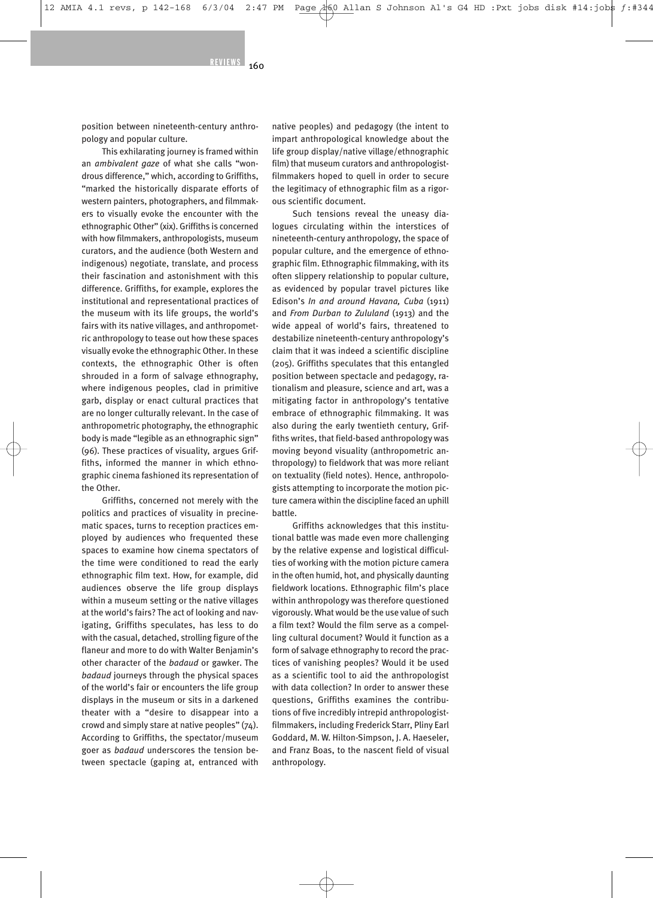position between nineteenth-century anthropology and popular culture.

This exhilarating journey is framed within an *ambivalent gaze* of what she calls "wondrous difference," which, according to Griffiths, "marked the historically disparate efforts of western painters, photographers, and filmmakers to visually evoke the encounter with the ethnographic Other" (xix). Griffiths is concerned with how filmmakers, anthropologists, museum curators, and the audience (both Western and indigenous) negotiate, translate, and process their fascination and astonishment with this difference. Griffiths, for example, explores the institutional and representational practices of the museum with its life groups, the world's fairs with its native villages, and anthropometric anthropology to tease out how these spaces visually evoke the ethnographic Other. In these contexts, the ethnographic Other is often shrouded in a form of salvage ethnography, where indigenous peoples, clad in primitive garb, display or enact cultural practices that are no longer culturally relevant. In the case of anthropometric photography, the ethnographic body is made "legible as an ethnographic sign" (96). These practices of visuality, argues Griffiths, informed the manner in which ethnographic cinema fashioned its representation of the Other.

Griffiths, concerned not merely with the politics and practices of visuality in precinematic spaces, turns to reception practices employed by audiences who frequented these spaces to examine how cinema spectators of the time were conditioned to read the early ethnographic film text. How, for example, did audiences observe the life group displays within a museum setting or the native villages at the world's fairs? The act of looking and navigating, Griffiths speculates, has less to do with the casual, detached, strolling figure of the flaneur and more to do with Walter Benjamin's other character of the *badaud* or gawker. The *badaud* journeys through the physical spaces of the world's fair or encounters the life group displays in the museum or sits in a darkened theater with a "desire to disappear into a crowd and simply stare at native peoples" (74). According to Griffiths, the spectator/museum goer as *badaud* underscores the tension between spectacle (gaping at, entranced with

native peoples) and pedagogy (the intent to impart anthropological knowledge about the life group display/native village/ethnographic film) that museum curators and anthropologistfilmmakers hoped to quell in order to secure the legitimacy of ethnographic film as a rigorous scientific document.

Such tensions reveal the uneasy dialogues circulating within the interstices of nineteenth-century anthropology, the space of popular culture, and the emergence of ethnographic film. Ethnographic filmmaking, with its often slippery relationship to popular culture, as evidenced by popular travel pictures like Edison's *In and around Havana, Cuba* (1911) and *From Durban to Zululand* (1913) and the wide appeal of world's fairs, threatened to destabilize nineteenth-century anthropology's claim that it was indeed a scientific discipline (205). Griffiths speculates that this entangled position between spectacle and pedagogy, rationalism and pleasure, science and art, was a mitigating factor in anthropology's tentative embrace of ethnographic filmmaking. It was also during the early twentieth century, Griffiths writes, that field-based anthropology was moving beyond visuality (anthropometric anthropology) to fieldwork that was more reliant on textuality (field notes). Hence, anthropologists attempting to incorporate the motion picture camera within the discipline faced an uphill battle.

Griffiths acknowledges that this institutional battle was made even more challenging by the relative expense and logistical difficulties of working with the motion picture camera in the often humid, hot, and physically daunting fieldwork locations. Ethnographic film's place within anthropology was therefore questioned vigorously. What would be the use value of such a film text? Would the film serve as a compelling cultural document? Would it function as a form of salvage ethnography to record the practices of vanishing peoples? Would it be used as a scientific tool to aid the anthropologist with data collection? In order to answer these questions, Griffiths examines the contributions of five incredibly intrepid anthropologistfilmmakers, including Frederick Starr, Pliny Earl Goddard, M. W. Hilton-Simpson, J. A. Haeseler, and Franz Boas, to the nascent field of visual anthropology.